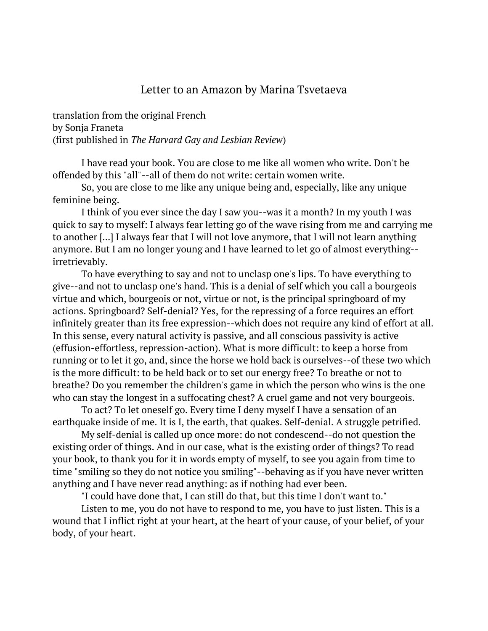## Letter to an Amazon by Marina Tsvetaeva

translation from the original French by Sonja Franeta (first published in *The Harvard Gay and Lesbian Review*)

I have read your book. You are close to me like all women who write. Don't be offended by this "all"--all of them do not write: certain women write.

So, you are close to me like any unique being and, especially, like any unique feminine being.

I think of you ever since the day I saw you--was it a month? In my youth I was quick to say to myself: I always fear letting go of the wave rising from me and carrying me to another [...] I always fear that I will not love anymore, that I will not learn anything anymore. But I am no longer young and I have learned to let go of almost everything- irretrievably.

To have everything to say and not to unclasp one's lips. To have everything to give--and not to unclasp one's hand. This is a denial of self which you call a bourgeois virtue and which, bourgeois or not, virtue or not, is the principal springboard of my actions. Springboard? Self-denial? Yes, for the repressing of a force requires an effort infinitely greater than its free expression--which does not require any kind of effort at all. In this sense, every natural activity is passive, and all conscious passivity is active (effusion-effortless, repression-action). What is more difficult: to keep a horse from running or to let it go, and, since the horse we hold back is ourselves--of these two which is the more difficult: to be held back or to set our energy free? To breathe or not to breathe? Do you remember the children's game in which the person who wins is the one who can stay the longest in a suffocating chest? A cruel game and not very bourgeois.

To act? To let oneself go. Every time I deny myself I have a sensation of an earthquake inside of me. It is I, the earth, that quakes. Self-denial. A struggle petrified.

My self-denial is called up once more: do not condescend--do not question the existing order of things. And in our case, what is the existing order of things? To read your book, to thank you for it in words empty of myself, to see you again from time to time "smiling so they do not notice you smiling"--behaving as if you have never written anything and I have never read anything: as if nothing had ever been.

"I could have done that, I can still do that, but this time I don't want to."

Listen to me, you do not have to respond to me, you have to just listen. This is a wound that I inflict right at your heart, at the heart of your cause, of your belief, of your body, of your heart.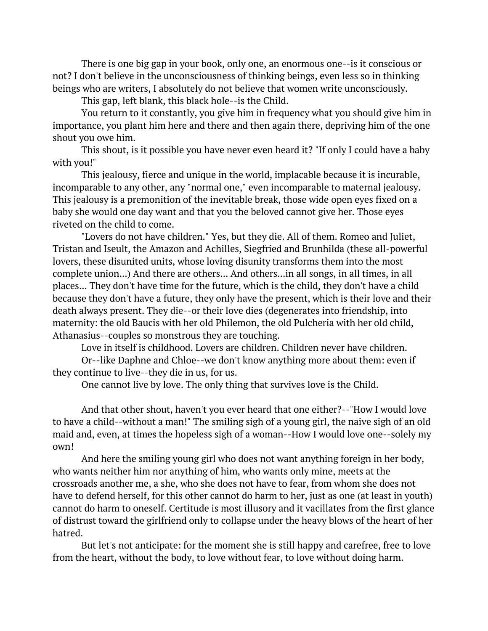There is one big gap in your book, only one, an enormous one--is it conscious or not? I don't believe in the unconsciousness of thinking beings, even less so in thinking beings who are writers, I absolutely do not believe that women write unconsciously.

This gap, left blank, this black hole--is the Child.

You return to it constantly, you give him in frequency what you should give him in importance, you plant him here and there and then again there, depriving him of the one shout you owe him.

This shout, is it possible you have never even heard it? "If only I could have a baby with you!"

This jealousy, fierce and unique in the world, implacable because it is incurable, incomparable to any other, any "normal one," even incomparable to maternal jealousy. This jealousy is a premonition of the inevitable break, those wide open eyes fixed on a baby she would one day want and that you the beloved cannot give her. Those eyes riveted on the child to come.

"Lovers do not have children." Yes, but they die. All of them. Romeo and Juliet, Tristan and Iseult, the Amazon and Achilles, Siegfried and Brunhilda (these all-powerful lovers, these disunited units, whose loving disunity transforms them into the most complete union...) And there are others... And others...in all songs, in all times, in all places... They don't have time for the future, which is the child, they don't have a child because they don't have a future, they only have the present, which is their love and their death always present. They die--or their love dies (degenerates into friendship, into maternity: the old Baucis with her old Philemon, the old Pulcheria with her old child, Athanasius--couples so monstrous they are touching.

Love in itself is childhood. Lovers are children. Children never have children.

Or--like Daphne and Chloe--we don't know anything more about them: even if they continue to live--they die in us, for us.

One cannot live by love. The only thing that survives love is the Child.

And that other shout, haven't you ever heard that one either?--"How I would love to have a child--without a man!" The smiling sigh of a young girl, the naive sigh of an old maid and, even, at times the hopeless sigh of a woman--How I would love one--solely my own!

And here the smiling young girl who does not want anything foreign in her body, who wants neither him nor anything of him, who wants only mine, meets at the crossroads another me, a she, who she does not have to fear, from whom she does not have to defend herself, for this other cannot do harm to her, just as one (at least in youth) cannot do harm to oneself. Certitude is most illusory and it vacillates from the first glance of distrust toward the girlfriend only to collapse under the heavy blows of the heart of her hatred.

But let's not anticipate: for the moment she is still happy and carefree, free to love from the heart, without the body, to love without fear, to love without doing harm.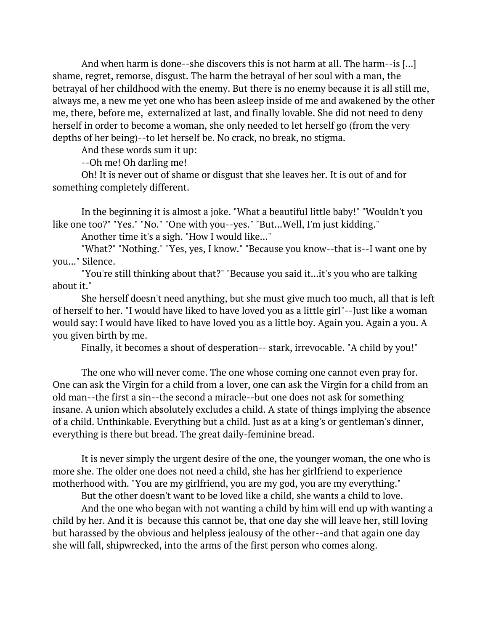And when harm is done--she discovers this is not harm at all. The harm--is [...] shame, regret, remorse, disgust. The harm the betrayal of her soul with a man, the betrayal of her childhood with the enemy. But there is no enemy because it is all still me, always me, a new me yet one who has been asleep inside of me and awakened by the other me, there, before me, externalized at last, and finally lovable. She did not need to deny herself in order to become a woman, she only needed to let herself go (from the very depths of her being)--to let herself be. No crack, no break, no stigma.

And these words sum it up:

--Oh me! Oh darling me!

Oh! It is never out of shame or disgust that she leaves her. It is out of and for something completely different.

In the beginning it is almost a joke. "What a beautiful little baby!" "Wouldn't you like one too?" "Yes." "No." "One with you--yes." "But...Well, I'm just kidding."

Another time it's a sigh. "How I would like..."

"What?" "Nothing." "Yes, yes, I know." "Because you know--that is--I want one by you..." Silence.

"You're still thinking about that?" "Because you said it...it's you who are talking about it."

She herself doesn't need anything, but she must give much too much, all that is left of herself to her. "I would have liked to have loved you as a little girl"--Just like a woman would say: I would have liked to have loved you as a little boy. Again you. Again a you. A you given birth by me.

Finally, it becomes a shout of desperation-- stark, irrevocable. "A child by you!"

The one who will never come. The one whose coming one cannot even pray for. One can ask the Virgin for a child from a lover, one can ask the Virgin for a child from an old man--the first a sin--the second a miracle--but one does not ask for something insane. A union which absolutely excludes a child. A state of things implying the absence of a child. Unthinkable. Everything but a child. Just as at a king's or gentleman's dinner, everything is there but bread. The great daily-feminine bread.

It is never simply the urgent desire of the one, the younger woman, the one who is more she. The older one does not need a child, she has her girlfriend to experience motherhood with. "You are my girlfriend, you are my god, you are my everything."

But the other doesn't want to be loved like a child, she wants a child to love. And the one who began with not wanting a child by him will end up with wanting a child by her. And it is because this cannot be, that one day she will leave her, still loving but harassed by the obvious and helpless jealousy of the other--and that again one day she will fall, shipwrecked, into the arms of the first person who comes along.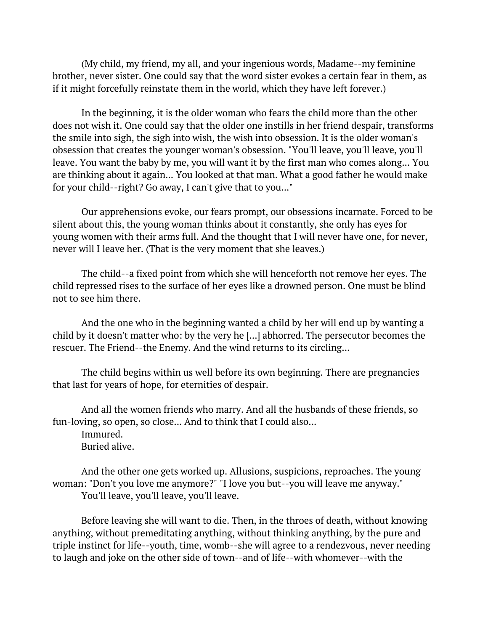(My child, my friend, my all, and your ingenious words, Madame--my feminine brother, never sister. One could say that the word sister evokes a certain fear in them, as if it might forcefully reinstate them in the world, which they have left forever.)

In the beginning, it is the older woman who fears the child more than the other does not wish it. One could say that the older one instills in her friend despair, transforms the smile into sigh, the sigh into wish, the wish into obsession. It is the older woman's obsession that creates the younger woman's obsession. "You'll leave, you'll leave, you'll leave. You want the baby by me, you will want it by the first man who comes along... You are thinking about it again... You looked at that man. What a good father he would make for your child--right? Go away, I can't give that to you..."

Our apprehensions evoke, our fears prompt, our obsessions incarnate. Forced to be silent about this, the young woman thinks about it constantly, she only has eyes for young women with their arms full. And the thought that I will never have one, for never, never will I leave her. (That is the very moment that she leaves.)

The child--a fixed point from which she will henceforth not remove her eyes. The child repressed rises to the surface of her eyes like a drowned person. One must be blind not to see him there.

And the one who in the beginning wanted a child by her will end up by wanting a child by it doesn't matter who: by the very he [...] abhorred. The persecutor becomes the rescuer. The Friend--the Enemy. And the wind returns to its circling...

The child begins within us well before its own beginning. There are pregnancies that last for years of hope, for eternities of despair.

And all the women friends who marry. And all the husbands of these friends, so fun-loving, so open, so close... And to think that I could also...

Immured. Buried alive.

And the other one gets worked up. Allusions, suspicions, reproaches. The young woman: "Don't you love me anymore?" "I love you but--you will leave me anyway." You'll leave, you'll leave, you'll leave.

Before leaving she will want to die. Then, in the throes of death, without knowing anything, without premeditating anything, without thinking anything, by the pure and triple instinct for life--youth, time, womb--she will agree to a rendezvous, never needing to laugh and joke on the other side of town--and of life--with whomever--with the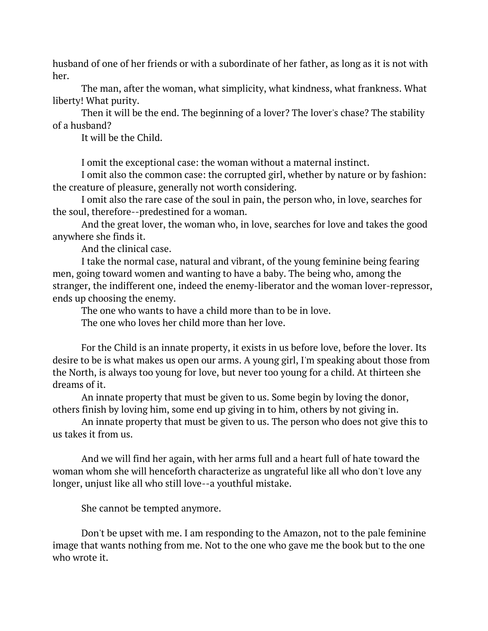husband of one of her friends or with a subordinate of her father, as long as it is not with her.

The man, after the woman, what simplicity, what kindness, what frankness. What liberty! What purity.

Then it will be the end. The beginning of a lover? The lover's chase? The stability of a husband?

It will be the Child.

I omit the exceptional case: the woman without a maternal instinct.

I omit also the common case: the corrupted girl, whether by nature or by fashion: the creature of pleasure, generally not worth considering.

I omit also the rare case of the soul in pain, the person who, in love, searches for the soul, therefore--predestined for a woman.

And the great lover, the woman who, in love, searches for love and takes the good anywhere she finds it.

And the clinical case.

I take the normal case, natural and vibrant, of the young feminine being fearing men, going toward women and wanting to have a baby. The being who, among the stranger, the indifferent one, indeed the enemy-liberator and the woman lover-repressor, ends up choosing the enemy.

The one who wants to have a child more than to be in love.

The one who loves her child more than her love.

For the Child is an innate property, it exists in us before love, before the lover. Its desire to be is what makes us open our arms. A young girl, I'm speaking about those from the North, is always too young for love, but never too young for a child. At thirteen she dreams of it.

An innate property that must be given to us. Some begin by loving the donor, others finish by loving him, some end up giving in to him, others by not giving in.

An innate property that must be given to us. The person who does not give this to us takes it from us.

And we will find her again, with her arms full and a heart full of hate toward the woman whom she will henceforth characterize as ungrateful like all who don't love any longer, unjust like all who still love--a youthful mistake.

She cannot be tempted anymore.

Don't be upset with me. I am responding to the Amazon, not to the pale feminine image that wants nothing from me. Not to the one who gave me the book but to the one who wrote it.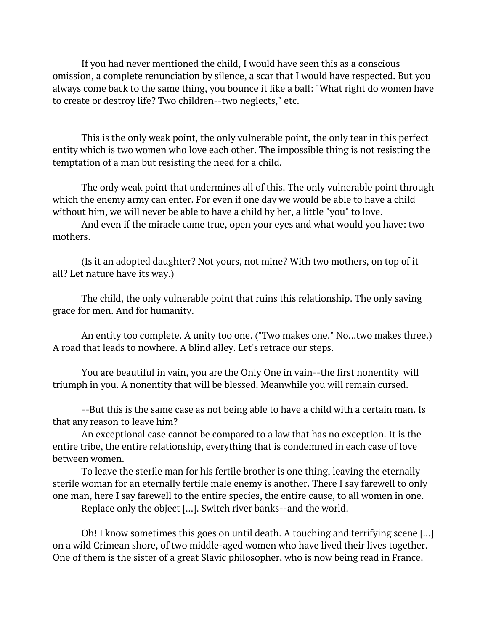If you had never mentioned the child, I would have seen this as a conscious omission, a complete renunciation by silence, a scar that I would have respected. But you always come back to the same thing, you bounce it like a ball: "What right do women have to create or destroy life? Two children--two neglects," etc.

This is the only weak point, the only vulnerable point, the only tear in this perfect entity which is two women who love each other. The impossible thing is not resisting the temptation of a man but resisting the need for a child.

The only weak point that undermines all of this. The only vulnerable point through which the enemy army can enter. For even if one day we would be able to have a child without him, we will never be able to have a child by her, a little "you" to love.

And even if the miracle came true, open your eyes and what would you have: two mothers.

(Is it an adopted daughter? Not yours, not mine? With two mothers, on top of it all? Let nature have its way.)

The child, the only vulnerable point that ruins this relationship. The only saving grace for men. And for humanity.

An entity too complete. A unity too one. ("Two makes one." No...two makes three.) A road that leads to nowhere. A blind alley. Let's retrace our steps.

You are beautiful in vain, you are the Only One in vain--the first nonentity will triumph in you. A nonentity that will be blessed. Meanwhile you will remain cursed.

--But this is the same case as not being able to have a child with a certain man. Is that any reason to leave him?

An exceptional case cannot be compared to a law that has no exception. It is the entire tribe, the entire relationship, everything that is condemned in each case of love between women.

To leave the sterile man for his fertile brother is one thing, leaving the eternally sterile woman for an eternally fertile male enemy is another. There I say farewell to only one man, here I say farewell to the entire species, the entire cause, to all women in one.

Replace only the object [...]. Switch river banks--and the world.

Oh! I know sometimes this goes on until death. A touching and terrifying scene [...] on a wild Crimean shore, of two middle-aged women who have lived their lives together. One of them is the sister of a great Slavic philosopher, who is now being read in France.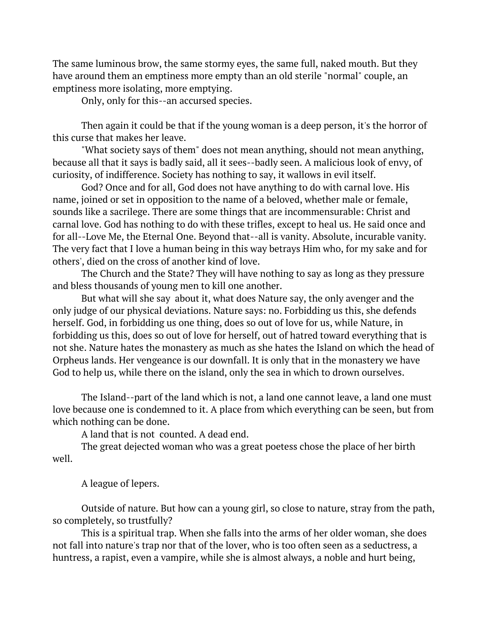The same luminous brow, the same stormy eyes, the same full, naked mouth. But they have around them an emptiness more empty than an old sterile "normal" couple, an emptiness more isolating, more emptying.

Only, only for this--an accursed species.

Then again it could be that if the young woman is a deep person, it's the horror of this curse that makes her leave.

"What society says of them" does not mean anything, should not mean anything, because all that it says is badly said, all it sees--badly seen. A malicious look of envy, of curiosity, of indifference. Society has nothing to say, it wallows in evil itself.

God? Once and for all, God does not have anything to do with carnal love. His name, joined or set in opposition to the name of a beloved, whether male or female, sounds like a sacrilege. There are some things that are incommensurable: Christ and carnal love. God has nothing to do with these trifles, except to heal us. He said once and for all--Love Me, the Eternal One. Beyond that--all is vanity. Absolute, incurable vanity. The very fact that I love a human being in this way betrays Him who, for my sake and for others', died on the cross of another kind of love.

The Church and the State? They will have nothing to say as long as they pressure and bless thousands of young men to kill one another.

But what will she say about it, what does Nature say, the only avenger and the only judge of our physical deviations. Nature says: no. Forbidding us this, she defends herself. God, in forbidding us one thing, does so out of love for us, while Nature, in forbidding us this, does so out of love for herself, out of hatred toward everything that is not she. Nature hates the monastery as much as she hates the Island on which the head of Orpheus lands. Her vengeance is our downfall. It is only that in the monastery we have God to help us, while there on the island, only the sea in which to drown ourselves.

The Island--part of the land which is not, a land one cannot leave, a land one must love because one is condemned to it. A place from which everything can be seen, but from which nothing can be done.

A land that is not counted. A dead end.

The great dejected woman who was a great poetess chose the place of her birth well.

A league of lepers.

Outside of nature. But how can a young girl, so close to nature, stray from the path, so completely, so trustfully?

This is a spiritual trap. When she falls into the arms of her older woman, she does not fall into nature's trap nor that of the lover, who is too often seen as a seductress, a huntress, a rapist, even a vampire, while she is almost always, a noble and hurt being,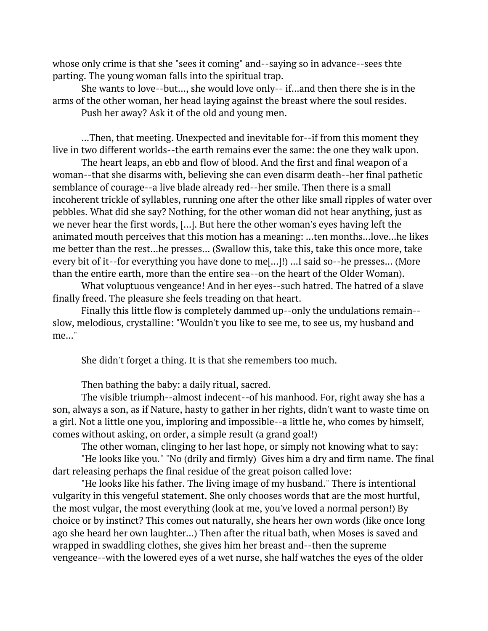whose only crime is that she "sees it coming" and--saying so in advance--sees thte parting. The young woman falls into the spiritual trap.

She wants to love--but..., she would love only-- if...and then there she is in the arms of the other woman, her head laying against the breast where the soul resides.

Push her away? Ask it of the old and young men.

...Then, that meeting. Unexpected and inevitable for--if from this moment they live in two different worlds--the earth remains ever the same: the one they walk upon.

The heart leaps, an ebb and flow of blood. And the first and final weapon of a woman--that she disarms with, believing she can even disarm death--her final pathetic semblance of courage--a live blade already red--her smile. Then there is a small incoherent trickle of syllables, running one after the other like small ripples of water over pebbles. What did she say? Nothing, for the other woman did not hear anything, just as we never hear the first words, [...]. But here the other woman's eyes having left the animated mouth perceives that this motion has a meaning: ...ten months...love...he likes me better than the rest...he presses... (Swallow this, take this, take this once more, take every bit of it--for everything you have done to me[...]!) ...I said so--he presses... (More than the entire earth, more than the entire sea--on the heart of the Older Woman).

What voluptuous vengeance! And in her eyes--such hatred. The hatred of a slave finally freed. The pleasure she feels treading on that heart.

Finally this little flow is completely dammed up--only the undulations remain- slow, melodious, crystalline: "Wouldn't you like to see me, to see us, my husband and me..."

She didn't forget a thing. It is that she remembers too much.

Then bathing the baby: a daily ritual, sacred.

The visible triumph--almost indecent--of his manhood. For, right away she has a son, always a son, as if Nature, hasty to gather in her rights, didn't want to waste time on a girl. Not a little one you, imploring and impossible--a little he, who comes by himself, comes without asking, on order, a simple result (a grand goal!)

The other woman, clinging to her last hope, or simply not knowing what to say:

"He looks like you." "No (drily and firmly) Gives him a dry and firm name. The final dart releasing perhaps the final residue of the great poison called love:

"He looks like his father. The living image of my husband." There is intentional vulgarity in this vengeful statement. She only chooses words that are the most hurtful, the most vulgar, the most everything (look at me, you've loved a normal person!) By choice or by instinct? This comes out naturally, she hears her own words (like once long ago she heard her own laughter...) Then after the ritual bath, when Moses is saved and wrapped in swaddling clothes, she gives him her breast and--then the supreme vengeance--with the lowered eyes of a wet nurse, she half watches the eyes of the older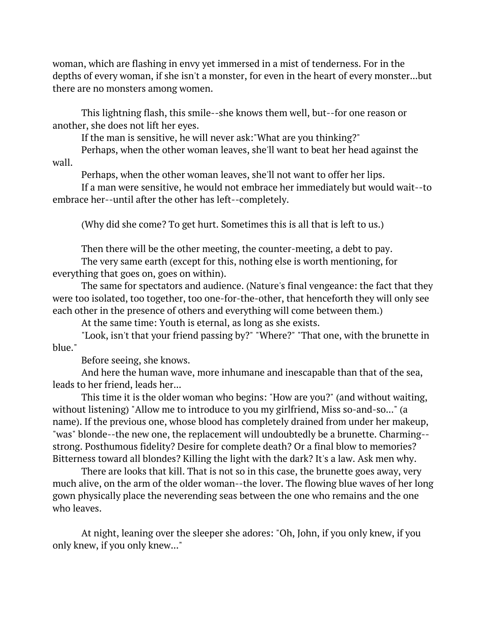woman, which are flashing in envy yet immersed in a mist of tenderness. For in the depths of every woman, if she isn't a monster, for even in the heart of every monster...but there are no monsters among women.

This lightning flash, this smile--she knows them well, but--for one reason or another, she does not lift her eyes.

If the man is sensitive, he will never ask:"What are you thinking?"

Perhaps, when the other woman leaves, she'll want to beat her head against the wall.

Perhaps, when the other woman leaves, she'll not want to offer her lips.

If a man were sensitive, he would not embrace her immediately but would wait--to embrace her--until after the other has left--completely.

(Why did she come? To get hurt. Sometimes this is all that is left to us.)

Then there will be the other meeting, the counter-meeting, a debt to pay. The very same earth (except for this, nothing else is worth mentioning, for

everything that goes on, goes on within).

The same for spectators and audience. (Nature's final vengeance: the fact that they were too isolated, too together, too one-for-the-other, that henceforth they will only see each other in the presence of others and everything will come between them.)

At the same time: Youth is eternal, as long as she exists.

"Look, isn't that your friend passing by?" "Where?" "That one, with the brunette in blue."

Before seeing, she knows.

And here the human wave, more inhumane and inescapable than that of the sea, leads to her friend, leads her...

This time it is the older woman who begins: "How are you?" (and without waiting, without listening) "Allow me to introduce to you my girlfriend, Miss so-and-so..." (a name). If the previous one, whose blood has completely drained from under her makeup, "was" blonde--the new one, the replacement will undoubtedly be a brunette. Charming- strong. Posthumous fidelity? Desire for complete death? Or a final blow to memories? Bitterness toward all blondes? Killing the light with the dark? It's a law. Ask men why.

There are looks that kill. That is not so in this case, the brunette goes away, very much alive, on the arm of the older woman--the lover. The flowing blue waves of her long gown physically place the neverending seas between the one who remains and the one who leaves.

At night, leaning over the sleeper she adores: "Oh, John, if you only knew, if you only knew, if you only knew..."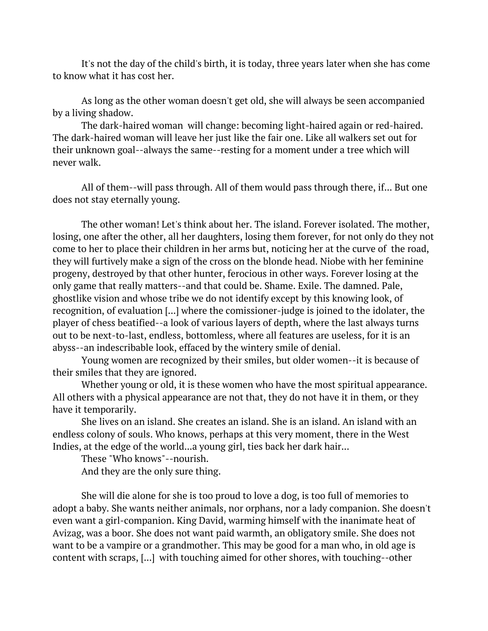It's not the day of the child's birth, it is today, three years later when she has come to know what it has cost her.

As long as the other woman doesn't get old, she will always be seen accompanied by a living shadow.

The dark-haired woman will change: becoming light-haired again or red-haired. The dark-haired woman will leave her just like the fair one. Like all walkers set out for their unknown goal--always the same--resting for a moment under a tree which will never walk.

All of them--will pass through. All of them would pass through there, if... But one does not stay eternally young.

The other woman! Let's think about her. The island. Forever isolated. The mother, losing, one after the other, all her daughters, losing them forever, for not only do they not come to her to place their children in her arms but, noticing her at the curve of the road, they will furtively make a sign of the cross on the blonde head. Niobe with her feminine progeny, destroyed by that other hunter, ferocious in other ways. Forever losing at the only game that really matters--and that could be. Shame. Exile. The damned. Pale, ghostlike vision and whose tribe we do not identify except by this knowing look, of recognition, of evaluation [...] where the comissioner-judge is joined to the idolater, the player of chess beatified--a look of various layers of depth, where the last always turns out to be next-to-last, endless, bottomless, where all features are useless, for it is an abyss--an indescribable look, effaced by the wintery smile of denial.

Young women are recognized by their smiles, but older women--it is because of their smiles that they are ignored.

Whether young or old, it is these women who have the most spiritual appearance. All others with a physical appearance are not that, they do not have it in them, or they have it temporarily.

She lives on an island. She creates an island. She is an island. An island with an endless colony of souls. Who knows, perhaps at this very moment, there in the West Indies, at the edge of the world...a young girl, ties back her dark hair...

These "Who knows"--nourish.

And they are the only sure thing.

She will die alone for she is too proud to love a dog, is too full of memories to adopt a baby. She wants neither animals, nor orphans, nor a lady companion. She doesn't even want a girl-companion. King David, warming himself with the inanimate heat of Avizag, was a boor. She does not want paid warmth, an obligatory smile. She does not want to be a vampire or a grandmother. This may be good for a man who, in old age is content with scraps, [...] with touching aimed for other shores, with touching--other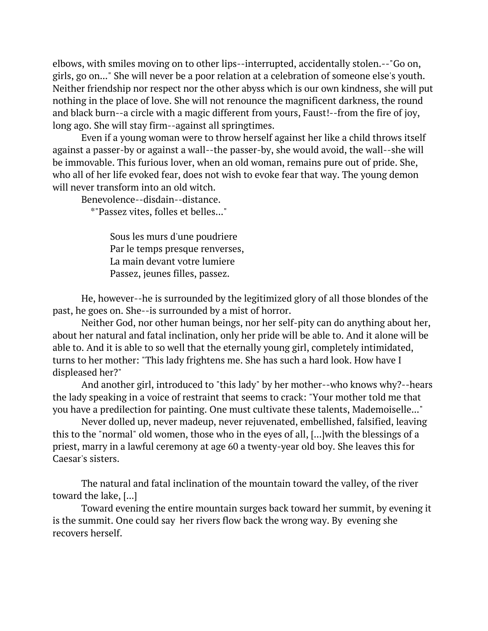elbows, with smiles moving on to other lips--interrupted, accidentally stolen.--"Go on, girls, go on..." She will never be a poor relation at a celebration of someone else's youth. Neither friendship nor respect nor the other abyss which is our own kindness, she will put nothing in the place of love. She will not renounce the magnificent darkness, the round and black burn--a circle with a magic different from yours, Faust!--from the fire of joy, long ago. She will stay firm--against all springtimes.

Even if a young woman were to throw herself against her like a child throws itself against a passer-by or against a wall--the passer-by, she would avoid, the wall--she will be immovable. This furious lover, when an old woman, remains pure out of pride. She, who all of her life evoked fear, does not wish to evoke fear that way. The young demon will never transform into an old witch.

Benevolence--disdain--distance.

\*"Passez vites, folles et belles..."

Sous les murs d'une poudriere Par le temps presque renverses, La main devant votre lumiere Passez, jeunes filles, passez.

He, however--he is surrounded by the legitimized glory of all those blondes of the past, he goes on. She--is surrounded by a mist of horror.

Neither God, nor other human beings, nor her self-pity can do anything about her, about her natural and fatal inclination, only her pride will be able to. And it alone will be able to. And it is able to so well that the eternally young girl, completely intimidated, turns to her mother: "This lady frightens me. She has such a hard look. How have I displeased her?"

And another girl, introduced to "this lady" by her mother--who knows why?--hears the lady speaking in a voice of restraint that seems to crack: "Your mother told me that you have a predilection for painting. One must cultivate these talents, Mademoiselle..."

Never dolled up, never madeup, never rejuvenated, embellished, falsified, leaving this to the "normal" old women, those who in the eyes of all, [...]with the blessings of a priest, marry in a lawful ceremony at age 60 a twenty-year old boy. She leaves this for Caesar's sisters.

The natural and fatal inclination of the mountain toward the valley, of the river toward the lake, [...]

Toward evening the entire mountain surges back toward her summit, by evening it is the summit. One could say her rivers flow back the wrong way. By evening she recovers herself.